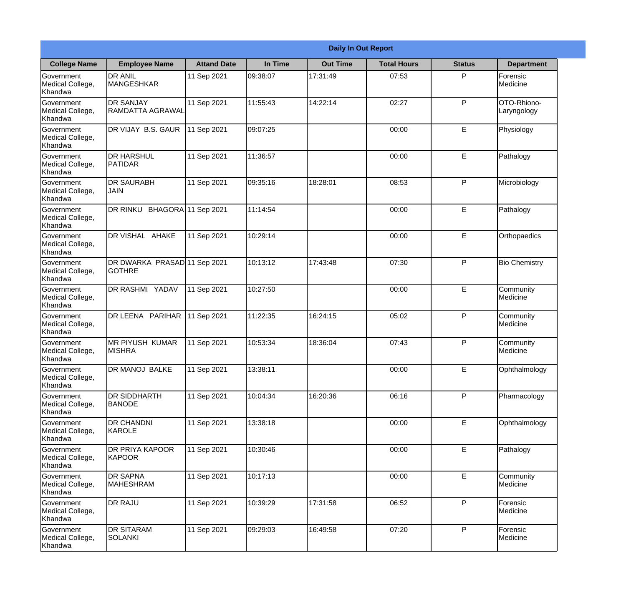|                                                  | <b>Daily In Out Report</b>                    |                    |          |                 |                    |               |                            |  |
|--------------------------------------------------|-----------------------------------------------|--------------------|----------|-----------------|--------------------|---------------|----------------------------|--|
| <b>College Name</b>                              | <b>Employee Name</b>                          | <b>Attand Date</b> | In Time  | <b>Out Time</b> | <b>Total Hours</b> | <b>Status</b> | <b>Department</b>          |  |
| Government<br>Medical College,<br>Khandwa        | <b>DR ANIL</b><br><b>MANGESHKAR</b>           | 11 Sep 2021        | 09:38:07 | 17:31:49        | 07:53              | P             | Forensic<br>Medicine       |  |
| Government<br>Medical College,<br>Khandwa        | <b>DR SANJAY</b><br>RAMDATTA AGRAWAL          | 11 Sep 2021        | 11:55:43 | 14:22:14        | 02:27              | P             | OTO-Rhiono-<br>Laryngology |  |
| <b>Government</b><br>Medical College,<br>Khandwa | DR VIJAY B.S. GAUR                            | 11 Sep 2021        | 09:07:25 |                 | 00:00              | E             | Physiology                 |  |
| Government<br>Medical College,<br>Khandwa        | <b>DR HARSHUL</b><br>PATIDAR                  | 11 Sep 2021        | 11:36:57 |                 | 00:00              | $\mathsf E$   | Pathalogy                  |  |
| <b>Government</b><br>Medical College,<br>Khandwa | <b>DR SAURABH</b><br><b>JAIN</b>              | 11 Sep 2021        | 09:35:16 | 18:28:01        | 08:53              | P             | Microbiology               |  |
| Government<br>Medical College,<br>Khandwa        | DR RINKU BHAGORA 11 Sep 2021                  |                    | 11:14:54 |                 | 00:00              | E             | Pathalogy                  |  |
| <b>Government</b><br>Medical College,<br>Khandwa | DR VISHAL AHAKE                               | 11 Sep 2021        | 10:29:14 |                 | 00:00              | E             | Orthopaedics               |  |
| Government<br>Medical College,<br>Khandwa        | DR DWARKA PRASAD 11 Sep 2021<br><b>GOTHRE</b> |                    | 10:13:12 | 17:43:48        | 07:30              | P             | <b>Bio Chemistry</b>       |  |
| <b>Government</b><br>Medical College,<br>Khandwa | <b>DR RASHMI YADAV</b>                        | 11 Sep 2021        | 10:27:50 |                 | 00:00              | E             | Community<br>Medicine      |  |
| Government<br>Medical College,<br>Khandwa        | DR LEENA PARIHAR                              | 11 Sep 2021        | 11:22:35 | 16:24:15        | 05:02              | P             | Community<br>Medicine      |  |
| Government<br>Medical College,<br>Khandwa        | <b>MR PIYUSH KUMAR</b><br><b>MISHRA</b>       | 11 Sep 2021        | 10:53:34 | 18:36:04        | 07:43              | P             | Community<br>Medicine      |  |
| Government<br>Medical College,<br>Khandwa        | DR MANOJ BALKE                                | 11 Sep 2021        | 13:38:11 |                 | 00:00              | $\mathsf E$   | Ophthalmology              |  |
| Government<br>Medical College,<br>Khandwa        | <b>DR SIDDHARTH</b><br><b>BANODE</b>          | 11 Sep 2021        | 10:04:34 | 16:20:36        | 06:16              | P             | Pharmacology               |  |
| Government<br>Medical College,<br>Khandwa        | <b>DR CHANDNI</b><br>KAROLE                   | 11 Sep 2021        | 13:38:18 |                 | 00:00              | $\mathsf E$   | Ophthalmology              |  |
| Government<br>Medical College,<br>Khandwa        | <b>DR PRIYA KAPOOR</b><br>KAPOOR              | 11 Sep 2021        | 10:30:46 |                 | 00:00              | $\mathsf E$   | Pathalogy                  |  |
| Government<br>Medical College,<br>Khandwa        | <b>DR SAPNA</b><br><b>MAHESHRAM</b>           | 11 Sep 2021        | 10:17:13 |                 | 00:00              | $\mathsf E$   | Community<br>Medicine      |  |
| Government<br>Medical College,<br>Khandwa        | <b>DR RAJU</b>                                | 11 Sep 2021        | 10:39:29 | 17:31:58        | 06:52              | P             | Forensic<br>Medicine       |  |
| Government<br>Medical College,<br>Khandwa        | <b>DR SITARAM</b><br>SOLANKI                  | 11 Sep 2021        | 09:29:03 | 16:49:58        | 07:20              | P             | Forensic<br>Medicine       |  |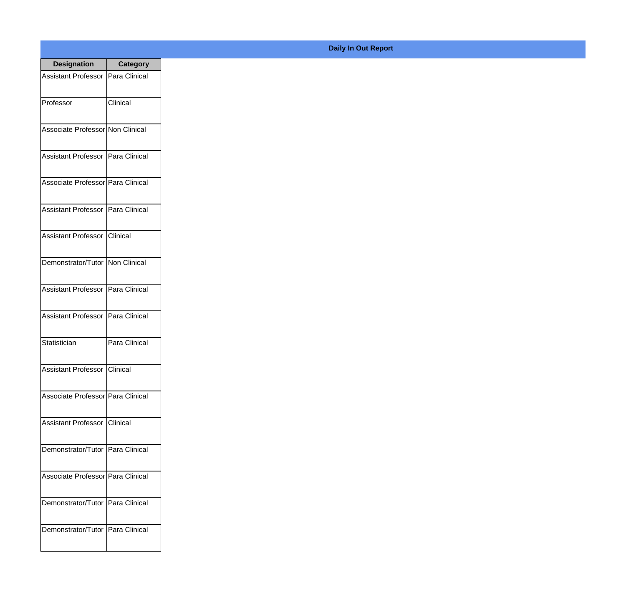| <b>Designation</b>                  | <b>Category</b> |
|-------------------------------------|-----------------|
| Assistant Professor   Para Clinical |                 |
| Professor                           | Clinical        |
| Associate Professor Non Clinical    |                 |
| Assistant Professor   Para Clinical |                 |
| Associate Professor Para Clinical   |                 |
| Assistant Professor   Para Clinical |                 |
| Assistant Professor Clinical        |                 |
| Demonstrator/Tutor   Non Clinical   |                 |
| Assistant Professor   Para Clinical |                 |
| Assistant Professor   Para Clinical |                 |
| Statistician                        | Para Clinical   |
| Assistant Professor Clinical        |                 |
| Associate Professor Para Clinical   |                 |
| Assistant Professor   Clinical      |                 |
| Demonstrator/Tutor   Para Clinical  |                 |
| Associate Professor   Para Clinical |                 |
| Demonstrator/Tutor   Para Clinical  |                 |
| Demonstrator/Tutor   Para Clinical  |                 |

## **Daily In Out Report**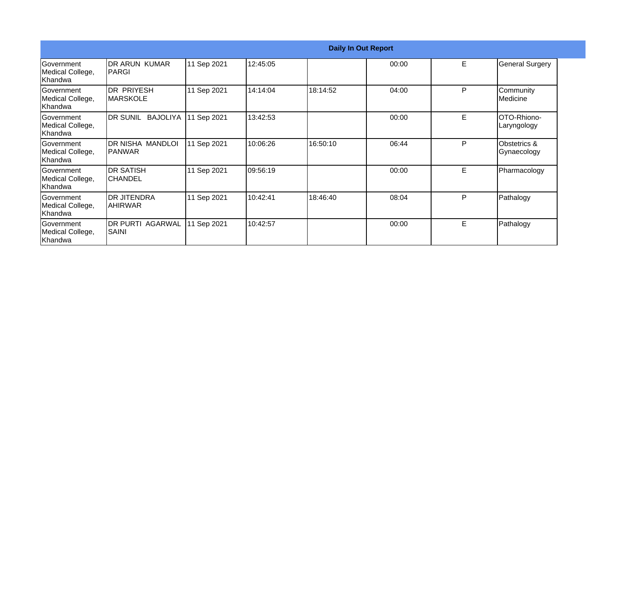| <b>Daily In Out Report</b>                        |                                         |             |          |          |       |    |                             |
|---------------------------------------------------|-----------------------------------------|-------------|----------|----------|-------|----|-----------------------------|
| <b>Government</b><br>Medical College,<br>lKhandwa | <b>IDR ARUN KUMAR</b><br> PARGI         | 11 Sep 2021 | 12:45:05 |          | 00:00 | E. | <b>General Surgery</b>      |
| lGovernment<br>Medical College,<br>lKhandwa l     | IDR PRIYESH<br><b>IMARSKOLE</b>         | 11 Sep 2021 | 14:14:04 | 18:14:52 | 04:00 | P  | Community<br>Medicine       |
| Government<br>Medical College,<br> Khandwa        | DR SUNIL<br><b>BAJOLIYA</b>             | 11 Sep 2021 | 13:42:53 |          | 00:00 | E. | OTO-Rhiono-<br>Laryngology  |
| <b>Government</b><br>Medical College,<br> Khandwa | DR NISHA MANDLOI<br>IPANWAR             | 11 Sep 2021 | 10:06:26 | 16:50:10 | 06:44 | P  | Obstetrics &<br>Gynaecology |
| <b>Government</b><br>Medical College,<br>Khandwa  | <b>DR SATISH</b><br>ICHANDEL            | 11 Sep 2021 | 09:56:19 |          | 00:00 | E. | Pharmacology                |
| lGovernment<br>Medical College,<br>Khandwa        | IDR JITENDRA<br> AHIRWAR                | 11 Sep 2021 | 10:42:41 | 18:46:40 | 08:04 | P  | Pathalogy                   |
| <b>Government</b><br>Medical College,<br>Khandwa  | <b>DR PURTI AGARWAL</b><br><b>SAINI</b> | 11 Sep 2021 | 10:42:57 |          | 00:00 | E. | Pathalogy                   |